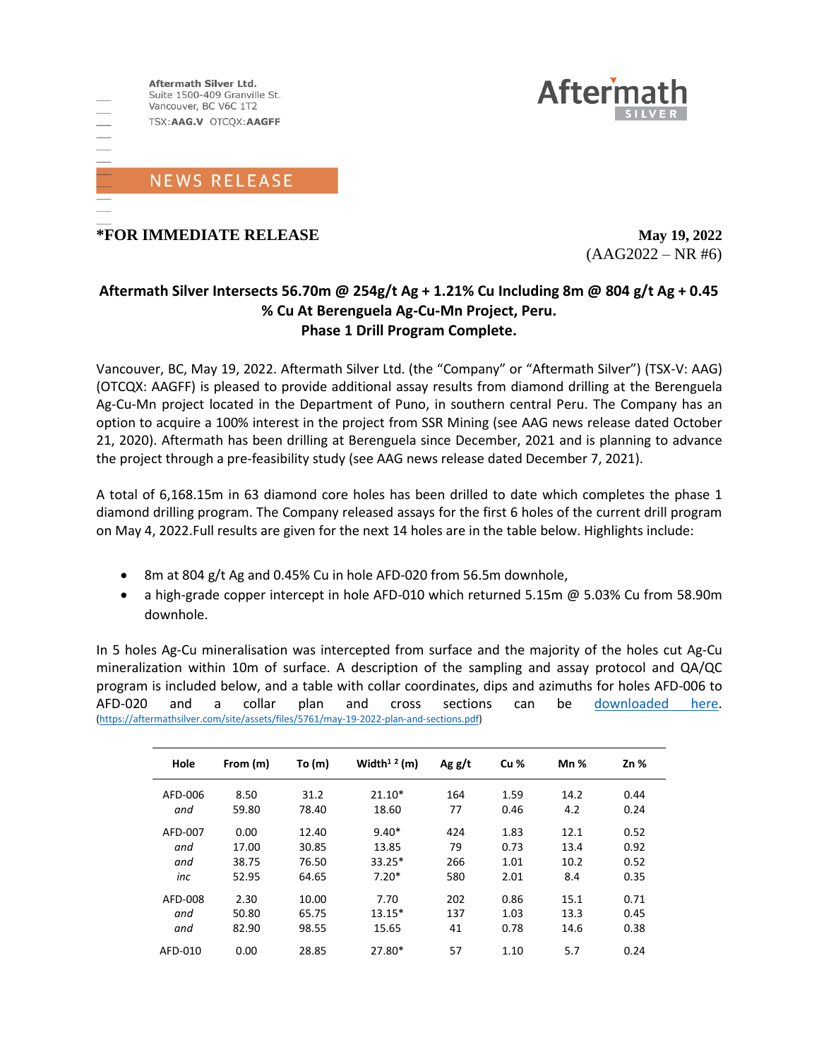



 $(AAG2022 - NR #6)$ 

**Aftern** 

## **Aftermath Silver Intersects 56.70m @ 254g/t Ag + 1.21% Cu Including 8m @ 804 g/t Ag + 0.45 % Cu At Berenguela Ag-Cu-Mn Project, Peru. Phase 1 Drill Program Complete.**

Vancouver, BC, May 19, 2022. Aftermath Silver Ltd. (the "Company" or "Aftermath Silver") (TSX-V: AAG) (OTCQX: AAGFF) is pleased to provide additional assay results from diamond drilling at the Berenguela Ag-Cu-Mn project located in the Department of Puno, in southern central Peru. The Company has an option to acquire a 100% interest in the project from SSR Mining (see AAG news release dated October 21, 2020). Aftermath has been drilling at Berenguela since December, 2021 and is planning to advance the project through a pre-feasibility study (see AAG news release dated December 7, 2021).

A total of 6,168.15m in 63 diamond core holes has been drilled to date which completes the phase 1 diamond drilling program. The Company released assays for the first 6 holes of the current drill program on May 4, 2022.Full results are given for the next 14 holes are in the table below. Highlights include:

- 8m at 804 g/t Ag and 0.45% Cu in hole AFD-020 from 56.5m downhole,
- a high-grade copper intercept in hole AFD-010 which returned 5.15m @ 5.03% Cu from 58.90m downhole.

In 5 holes Ag-Cu mineralisation was intercepted from surface and the majority of the holes cut Ag-Cu mineralization within 10m of surface. A description of the sampling and assay protocol and QA/QC program is included below, and a table with collar coordinates, dips and azimuths for holes AFD-006 to AFD-020 and a collar plan and cross sections can be [downloaded here.](https://aftermathsilver.com/site/assets/files/5761/may-19-2022-plan-and-sections.pdf) [\(https://aftermathsilver.com/site/assets/files/5761/may-19-2022-plan-and-sections.pdf\)](https://aftermathsilver.com/site/assets/files/5761/may-19-2022-plan-and-sections.pdf)

| Hole    | From (m) | To $(m)$ | Width <sup>12</sup> (m) | Agg/t | Cu <sub>%</sub> | Mn $%$ | $Zn$ % |
|---------|----------|----------|-------------------------|-------|-----------------|--------|--------|
| AFD-006 | 8.50     | 31.2     | $21.10*$                | 164   | 1.59            | 14.2   | 0.44   |
| and     | 59.80    | 78.40    | 18.60                   | 77    | 0.46            | 4.2    | 0.24   |
| AFD-007 | 0.00     | 12.40    | $9.40*$                 | 424   | 1.83            | 12.1   | 0.52   |
| and     | 17.00    | 30.85    | 13.85                   | 79    | 0.73            | 13.4   | 0.92   |
| and     | 38.75    | 76.50    | 33.25*                  | 266   | 1.01            | 10.2   | 0.52   |
| inc     | 52.95    | 64.65    | $7.20*$                 | 580   | 2.01            | 8.4    | 0.35   |
| AFD-008 | 2.30     | 10.00    | 7.70                    | 202   | 0.86            | 15.1   | 0.71   |
| and     | 50.80    | 65.75    | $13.15*$                | 137   | 1.03            | 13.3   | 0.45   |
| and     | 82.90    | 98.55    | 15.65                   | 41    | 0.78            | 14.6   | 0.38   |
| AFD-010 | 0.00     | 28.85    | 27.80*                  | 57    | 1.10            | 5.7    | 0.24   |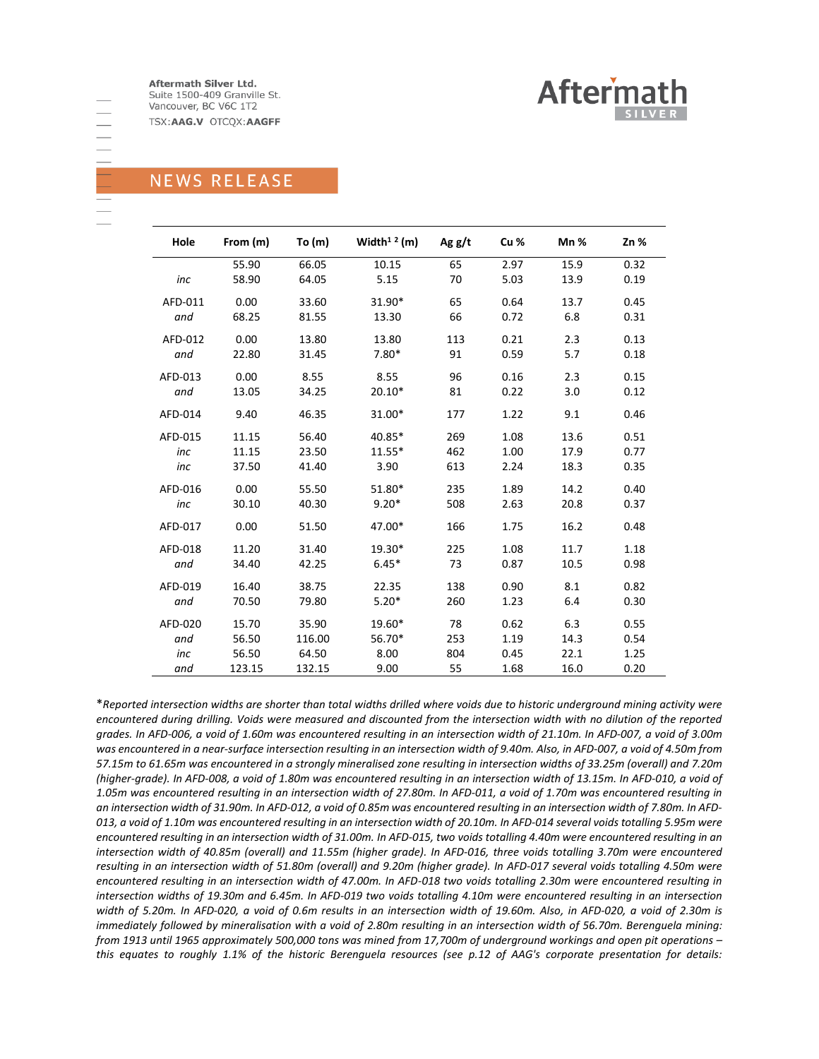TSX:AAG.V OTCQX:AAGFF



## **NEWS RELEASE**

| _____ |  |
|-------|--|
|       |  |
| _____ |  |
| ____  |  |
|       |  |
| ___   |  |
|       |  |

| Hole    | From (m) | To (m) | Width <sup>12</sup> $(m)$ | Agg/t | Cu <sub>%</sub> | $Mn$ % | Zn % |
|---------|----------|--------|---------------------------|-------|-----------------|--------|------|
|         | 55.90    | 66.05  | 10.15                     | 65    | 2.97            | 15.9   | 0.32 |
| inc     | 58.90    | 64.05  | 5.15                      | 70    | 5.03            | 13.9   | 0.19 |
| AFD-011 | 0.00     | 33.60  | 31.90*                    | 65    | 0.64            | 13.7   | 0.45 |
| and     | 68.25    | 81.55  | 13.30                     | 66    | 0.72            | 6.8    | 0.31 |
| AFD-012 | 0.00     | 13.80  | 13.80                     | 113   | 0.21            | 2.3    | 0.13 |
| and     | 22.80    | 31.45  | $7.80*$                   | 91    | 0.59            | 5.7    | 0.18 |
| AFD-013 | 0.00     | 8.55   | 8.55                      | 96    | 0.16            | 2.3    | 0.15 |
| and     | 13.05    | 34.25  | 20.10*                    | 81    | 0.22            | 3.0    | 0.12 |
| AFD-014 | 9.40     | 46.35  | 31.00*                    | 177   | 1.22            | 9.1    | 0.46 |
| AFD-015 | 11.15    | 56.40  | 40.85*                    | 269   | 1.08            | 13.6   | 0.51 |
| inc     | 11.15    | 23.50  | $11.55*$                  | 462   | 1.00            | 17.9   | 0.77 |
| inc     | 37.50    | 41.40  | 3.90                      | 613   | 2.24            | 18.3   | 0.35 |
| AFD-016 | 0.00     | 55.50  | 51.80*                    | 235   | 1.89            | 14.2   | 0.40 |
| inc     | 30.10    | 40.30  | $9.20*$                   | 508   | 2.63            | 20.8   | 0.37 |
| AFD-017 | 0.00     | 51.50  | 47.00*                    | 166   | 1.75            | 16.2   | 0.48 |
| AFD-018 | 11.20    | 31.40  | 19.30*                    | 225   | 1.08            | 11.7   | 1.18 |
| and     | 34.40    | 42.25  | $6.45*$                   | 73    | 0.87            | 10.5   | 0.98 |
| AFD-019 | 16.40    | 38.75  | 22.35                     | 138   | 0.90            | 8.1    | 0.82 |
| and     | 70.50    | 79.80  | $5.20*$                   | 260   | 1.23            | 6.4    | 0.30 |
| AFD-020 | 15.70    | 35.90  | 19.60*                    | 78    | 0.62            | 6.3    | 0.55 |
| and     | 56.50    | 116.00 | 56.70*                    | 253   | 1.19            | 14.3   | 0.54 |
| inc     | 56.50    | 64.50  | 8.00                      | 804   | 0.45            | 22.1   | 1.25 |
| and     | 123.15   | 132.15 | 9.00                      | 55    | 1.68            | 16.0   | 0.20 |

\**Reported intersection widths are shorter than total widths drilled where voids due to historic underground mining activity were encountered during drilling. Voids were measured and discounted from the intersection width with no dilution of the reported grades. In AFD-006, a void of 1.60m was encountered resulting in an intersection width of 21.10m. In AFD-007, a void of 3.00m was encountered in a near-surface intersection resulting in an intersection width of 9.40m. Also, in AFD-007, a void of 4.50m from 57.15m to 61.65m was encountered in a strongly mineralised zone resulting in intersection widths of 33.25m (overall) and 7.20m (higher-grade). In AFD-008, a void of 1.80m was encountered resulting in an intersection width of 13.15m. In AFD-010, a void of 1.05m was encountered resulting in an intersection width of 27.80m. In AFD-011, a void of 1.70m was encountered resulting in an intersection width of 31.90m. In AFD-012, a void of 0.85m was encountered resulting in an intersection width of 7.80m. In AFD-013, a void of 1.10m was encountered resulting in an intersection width of 20.10m. In AFD-014 several voids totalling 5.95m were encountered resulting in an intersection width of 31.00m. In AFD-015, two voids totalling 4.40m were encountered resulting in an intersection width of 40.85m (overall) and 11.55m (higher grade). In AFD-016, three voids totalling 3.70m were encountered resulting in an intersection width of 51.80m (overall) and 9.20m (higher grade). In AFD-017 several voids totalling 4.50m were encountered resulting in an intersection width of 47.00m. In AFD-018 two voids totalling 2.30m were encountered resulting in intersection widths of 19.30m and 6.45m. In AFD-019 two voids totalling 4.10m were encountered resulting in an intersection width of 5.20m. In AFD-020, a void of 0.6m results in an intersection width of 19.60m. Also, in AFD-020, a void of 2.30m is immediately followed by mineralisation with a void of 2.80m resulting in an intersection width of 56.70m. Berenguela mining: from 1913 until 1965 approximately 500,000 tons was mined from 17,700m of underground workings and open pit operations – this equates to roughly 1.1% of the historic Berenguela resources (see p.12 of AAG's corporate presentation for details:*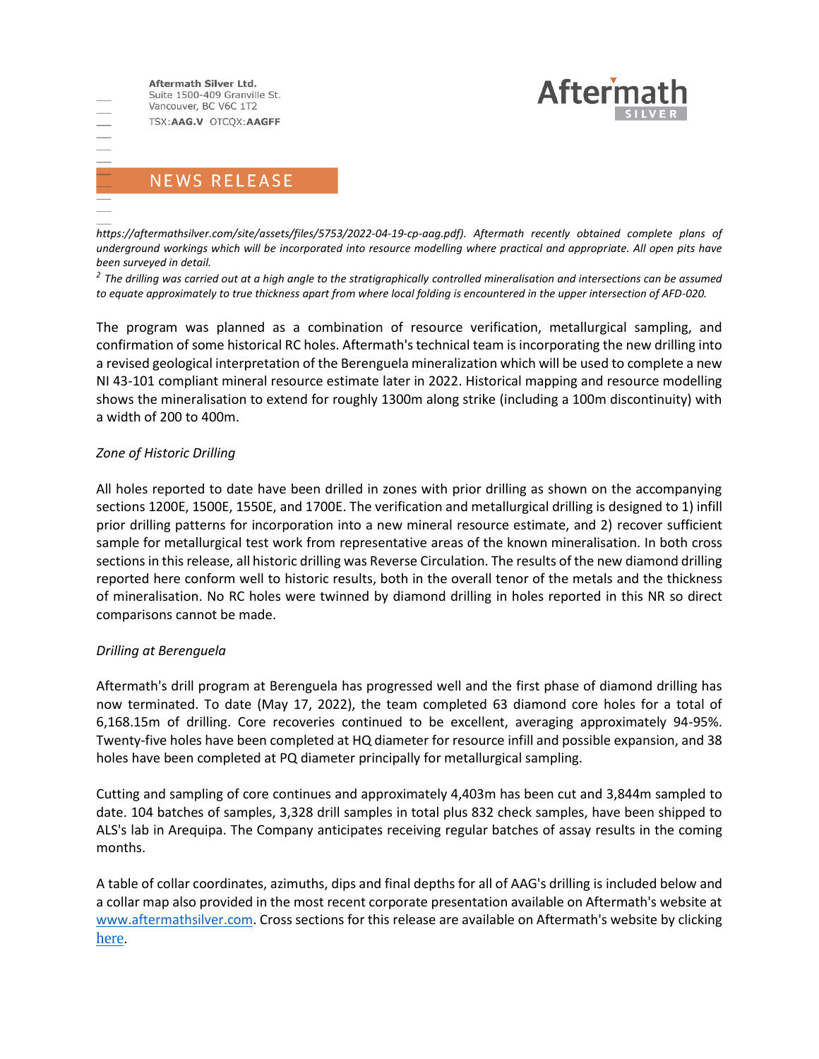Aftermath Silver Ltd. Suite 1500-409 Granville St. Vancouver, BC V6C 1T2 TSX:AAG.V OTCQX:AAGFF

 $\frac{-}{-1}$ 



# **NEWS RELEASE**

*https://aftermathsilver.com/site/assets/files/5753/2022-04-19-cp-aag.pdf). Aftermath recently obtained complete plans of underground workings which will be incorporated into resource modelling where practical and appropriate. All open pits have been surveyed in detail.* 

*2 The drilling was carried out at a high angle to the stratigraphically controlled mineralisation and intersections can be assumed to equate approximately to true thickness apart from where local folding is encountered in the upper intersection of AFD-020.*

The program was planned as a combination of resource verification, metallurgical sampling, and confirmation of some historical RC holes. Aftermath's technical team is incorporating the new drilling into a revised geological interpretation of the Berenguela mineralization which will be used to complete a new NI 43-101 compliant mineral resource estimate later in 2022. Historical mapping and resource modelling shows the mineralisation to extend for roughly 1300m along strike (including a 100m discontinuity) with a width of 200 to 400m.

### *Zone of Historic Drilling*

All holes reported to date have been drilled in zones with prior drilling as shown on the accompanying sections 1200E, 1500E, 1550E, and 1700E. The verification and metallurgical drilling is designed to 1) infill prior drilling patterns for incorporation into a new mineral resource estimate, and 2) recover sufficient sample for metallurgical test work from representative areas of the known mineralisation. In both cross sections in this release, all historic drilling was Reverse Circulation. The results of the new diamond drilling reported here conform well to historic results, both in the overall tenor of the metals and the thickness of mineralisation. No RC holes were twinned by diamond drilling in holes reported in this NR so direct comparisons cannot be made.

#### *Drilling at Berenguela*

Aftermath's drill program at Berenguela has progressed well and the first phase of diamond drilling has now terminated. To date (May 17, 2022), the team completed 63 diamond core holes for a total of 6,168.15m of drilling. Core recoveries continued to be excellent, averaging approximately 94-95%. Twenty-five holes have been completed at HQ diameter for resource infill and possible expansion, and 38 holes have been completed at PQ diameter principally for metallurgical sampling.

Cutting and sampling of core continues and approximately 4,403m has been cut and 3,844m sampled to date. 104 batches of samples, 3,328 drill samples in total plus 832 check samples, have been shipped to ALS's lab in Arequipa. The Company anticipates receiving regular batches of assay results in the coming months.

A table of collar coordinates, azimuths, dips and final depths for all of AAG's drilling is included below and a collar map also provided in the most recent corporate presentation available on Aftermath's website at [www.aftermathsilver.com.](http://www.aftermathsilver.com/) Cross sections for this release are available on Aftermath's website by clicking [here](https://aftermathsilver.com/site/assets/files/5761/may-19-2022-plan-and-sections.pdf).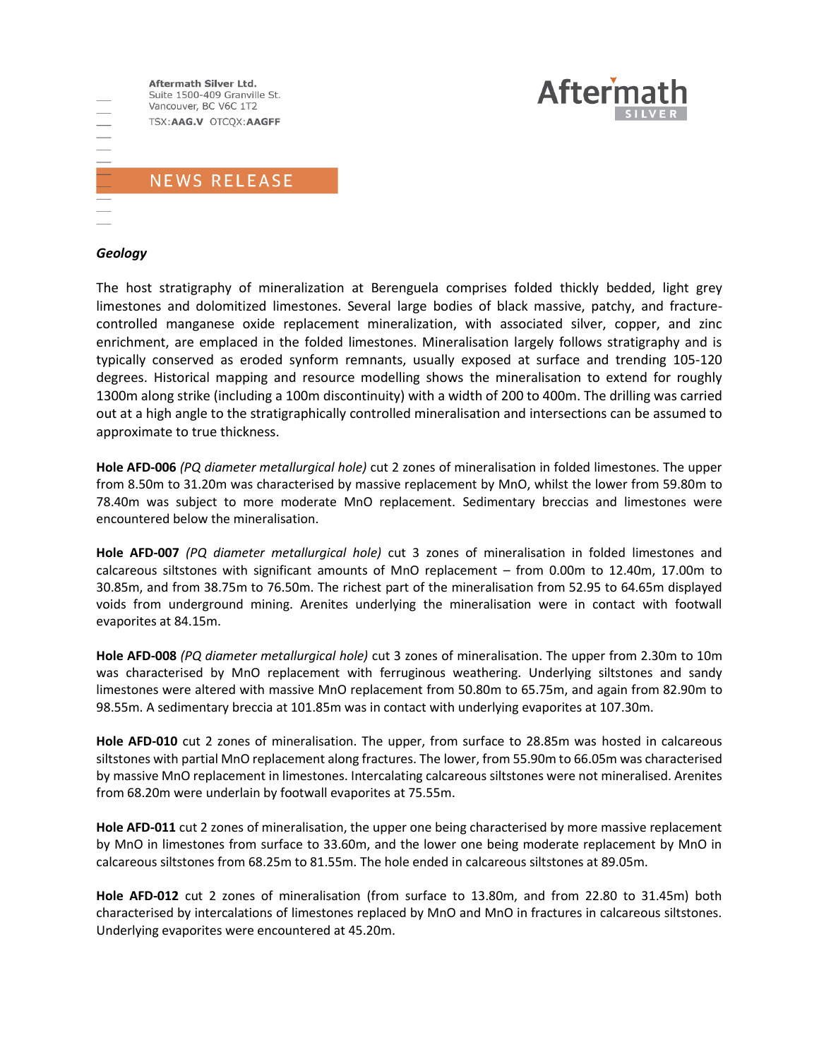

#### *Geology*

The host stratigraphy of mineralization at Berenguela comprises folded thickly bedded, light grey limestones and dolomitized limestones. Several large bodies of black massive, patchy, and fracturecontrolled manganese oxide replacement mineralization, with associated silver, copper, and zinc enrichment, are emplaced in the folded limestones. Mineralisation largely follows stratigraphy and is typically conserved as eroded synform remnants, usually exposed at surface and trending 105-120 degrees. Historical mapping and resource modelling shows the mineralisation to extend for roughly 1300m along strike (including a 100m discontinuity) with a width of 200 to 400m. The drilling was carried out at a high angle to the stratigraphically controlled mineralisation and intersections can be assumed to approximate to true thickness.

**Aftern** 

**Hole AFD-006** *(PQ diameter metallurgical hole)* cut 2 zones of mineralisation in folded limestones. The upper from 8.50m to 31.20m was characterised by massive replacement by MnO, whilst the lower from 59.80m to 78.40m was subject to more moderate MnO replacement. Sedimentary breccias and limestones were encountered below the mineralisation.

**Hole AFD-007** *(PQ diameter metallurgical hole)* cut 3 zones of mineralisation in folded limestones and calcareous siltstones with significant amounts of MnO replacement – from 0.00m to 12.40m, 17.00m to 30.85m, and from 38.75m to 76.50m. The richest part of the mineralisation from 52.95 to 64.65m displayed voids from underground mining. Arenites underlying the mineralisation were in contact with footwall evaporites at 84.15m.

**Hole AFD-008** *(PQ diameter metallurgical hole)* cut 3 zones of mineralisation. The upper from 2.30m to 10m was characterised by MnO replacement with ferruginous weathering. Underlying siltstones and sandy limestones were altered with massive MnO replacement from 50.80m to 65.75m, and again from 82.90m to 98.55m. A sedimentary breccia at 101.85m was in contact with underlying evaporites at 107.30m.

**Hole AFD-010** cut 2 zones of mineralisation. The upper, from surface to 28.85m was hosted in calcareous siltstones with partial MnO replacement along fractures. The lower, from 55.90m to 66.05m was characterised by massive MnO replacement in limestones. Intercalating calcareous siltstones were not mineralised. Arenites from 68.20m were underlain by footwall evaporites at 75.55m.

**Hole AFD-011** cut 2 zones of mineralisation, the upper one being characterised by more massive replacement by MnO in limestones from surface to 33.60m, and the lower one being moderate replacement by MnO in calcareous siltstones from 68.25m to 81.55m. The hole ended in calcareous siltstones at 89.05m.

**Hole AFD-012** cut 2 zones of mineralisation (from surface to 13.80m, and from 22.80 to 31.45m) both characterised by intercalations of limestones replaced by MnO and MnO in fractures in calcareous siltstones. Underlying evaporites were encountered at 45.20m.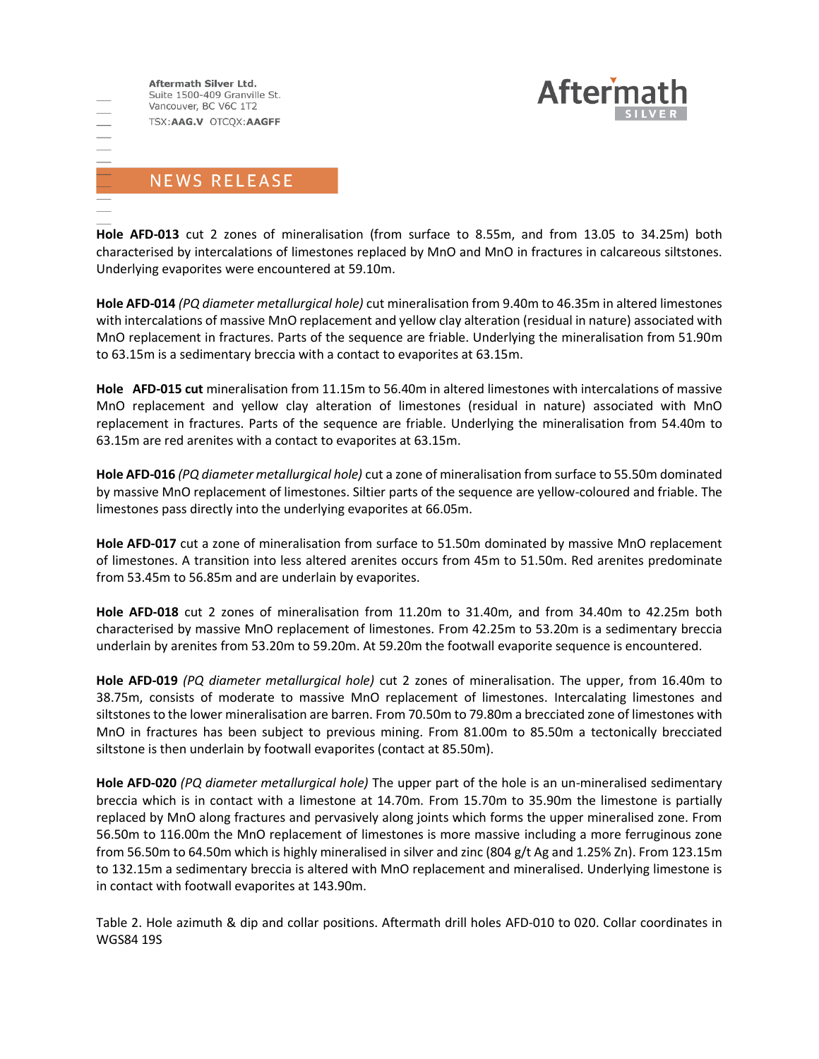



**Hole AFD-013** cut 2 zones of mineralisation (from surface to 8.55m, and from 13.05 to 34.25m) both characterised by intercalations of limestones replaced by MnO and MnO in fractures in calcareous siltstones. Underlying evaporites were encountered at 59.10m.

**Hole AFD-014** *(PQ diameter metallurgical hole)* cut mineralisation from 9.40m to 46.35m in altered limestones with intercalations of massive MnO replacement and yellow clay alteration (residual in nature) associated with MnO replacement in fractures. Parts of the sequence are friable. Underlying the mineralisation from 51.90m to 63.15m is a sedimentary breccia with a contact to evaporites at 63.15m.

**Hole AFD-015 cut** mineralisation from 11.15m to 56.40m in altered limestones with intercalations of massive MnO replacement and yellow clay alteration of limestones (residual in nature) associated with MnO replacement in fractures. Parts of the sequence are friable. Underlying the mineralisation from 54.40m to 63.15m are red arenites with a contact to evaporites at 63.15m.

**Hole AFD-016** *(PQ diameter metallurgical hole)* cut a zone of mineralisation from surface to 55.50m dominated by massive MnO replacement of limestones. Siltier parts of the sequence are yellow-coloured and friable. The limestones pass directly into the underlying evaporites at 66.05m.

**Hole AFD-017** cut a zone of mineralisation from surface to 51.50m dominated by massive MnO replacement of limestones. A transition into less altered arenites occurs from 45m to 51.50m. Red arenites predominate from 53.45m to 56.85m and are underlain by evaporites.

**Hole AFD-018** cut 2 zones of mineralisation from 11.20m to 31.40m, and from 34.40m to 42.25m both characterised by massive MnO replacement of limestones. From 42.25m to 53.20m is a sedimentary breccia underlain by arenites from 53.20m to 59.20m. At 59.20m the footwall evaporite sequence is encountered.

**Hole AFD-019** *(PQ diameter metallurgical hole)* cut 2 zones of mineralisation. The upper, from 16.40m to 38.75m, consists of moderate to massive MnO replacement of limestones. Intercalating limestones and siltstones to the lower mineralisation are barren. From 70.50m to 79.80m a brecciated zone of limestones with MnO in fractures has been subject to previous mining. From 81.00m to 85.50m a tectonically brecciated siltstone is then underlain by footwall evaporites (contact at 85.50m).

**Hole AFD-020** *(PQ diameter metallurgical hole)* The upper part of the hole is an un-mineralised sedimentary breccia which is in contact with a limestone at 14.70m. From 15.70m to 35.90m the limestone is partially replaced by MnO along fractures and pervasively along joints which forms the upper mineralised zone. From 56.50m to 116.00m the MnO replacement of limestones is more massive including a more ferruginous zone from 56.50m to 64.50m which is highly mineralised in silver and zinc (804 g/t Ag and 1.25% Zn). From 123.15m to 132.15m a sedimentary breccia is altered with MnO replacement and mineralised. Underlying limestone is in contact with footwall evaporites at 143.90m.

Table 2. Hole azimuth & dip and collar positions. Aftermath drill holes AFD-010 to 020. Collar coordinates in WGS84 19S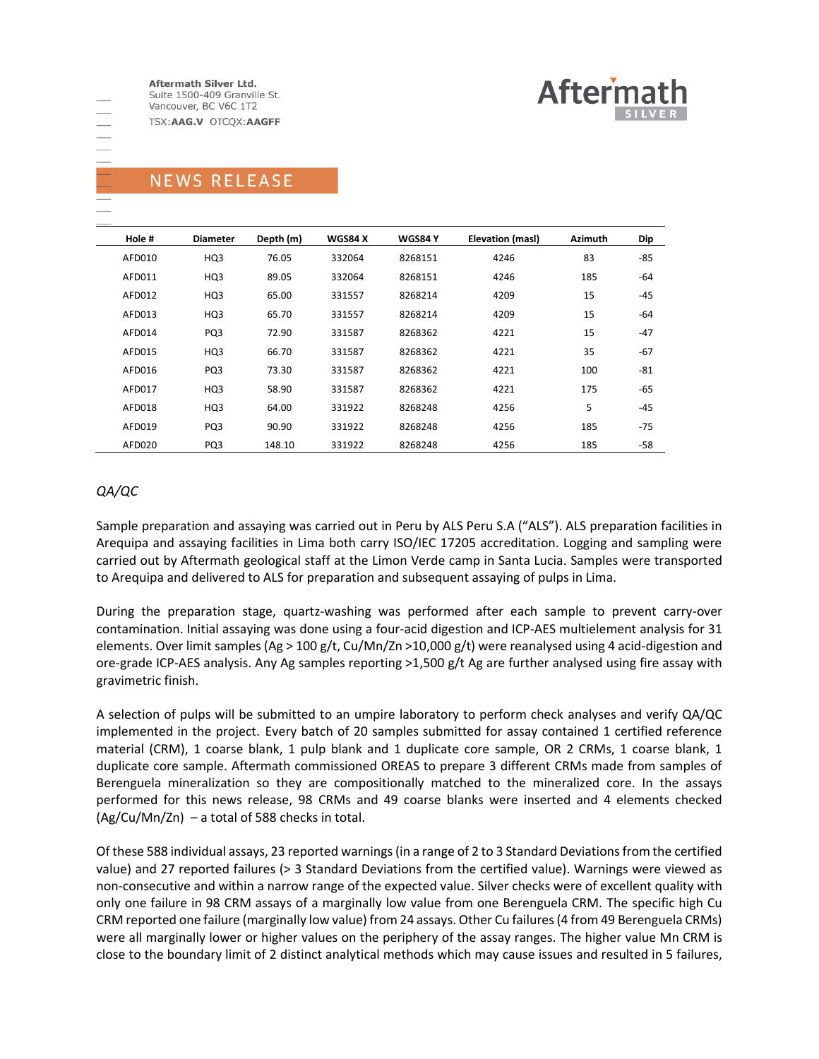

TSX:AAG.V OTCQX:AAGFF

# **NEWS RELEASE**

| Hole # | <b>Diameter</b> | Depth (m) | <b>WGS84 X</b> | <b>WGS84 Y</b> | Elevation (masl) | <b>Azimuth</b> | Dip   |
|--------|-----------------|-----------|----------------|----------------|------------------|----------------|-------|
| AFD010 | HQ3             | 76.05     | 332064         | 8268151        | 4246             | 83             | $-85$ |
| AFD011 | HQ3             | 89.05     | 332064         | 8268151        | 4246             | 185            | -64   |
| AFD012 | HQ3             | 65.00     | 331557         | 8268214        | 4209             | 15             | $-45$ |
| AFD013 | HQ3             | 65.70     | 331557         | 8268214        | 4209             | 15             | -64   |
| AFD014 | PQ3             | 72.90     | 331587         | 8268362        | 4221             | 15             | $-47$ |
| AFD015 | HQ3             | 66.70     | 331587         | 8268362        | 4221             | 35             | $-67$ |
| AFD016 | PQ3             | 73.30     | 331587         | 8268362        | 4221             | 100            | $-81$ |
| AFD017 | HQ3             | 58.90     | 331587         | 8268362        | 4221             | 175            | $-65$ |
| AFD018 | HQ3             | 64.00     | 331922         | 8268248        | 4256             | 5              | $-45$ |
| AFD019 | PQ3             | 90.90     | 331922         | 8268248        | 4256             | 185            | $-75$ |
| AFD020 | PQ3             | 148.10    | 331922         | 8268248        | 4256             | 185            | -58   |

### *QA/QC*

Sample preparation and assaying was carried out in Peru by ALS Peru S.A ("ALS"). ALS preparation facilities in Arequipa and assaying facilities in Lima both carry ISO/IEC 17205 accreditation. Logging and sampling were carried out by Aftermath geological staff at the Limon Verde camp in Santa Lucia. Samples were transported to Arequipa and delivered to ALS for preparation and subsequent assaying of pulps in Lima.

During the preparation stage, quartz-washing was performed after each sample to prevent carry-over contamination. Initial assaying was done using a four-acid digestion and ICP-AES multielement analysis for 31 elements. Over limit samples (Ag > 100 g/t, Cu/Mn/Zn >10,000 g/t) were reanalysed using 4 acid-digestion and ore-grade ICP-AES analysis. Any Ag samples reporting >1,500 g/t Ag are further analysed using fire assay with gravimetric finish.

A selection of pulps will be submitted to an umpire laboratory to perform check analyses and verify QA/QC implemented in the project. Every batch of 20 samples submitted for assay contained 1 certified reference material (CRM), 1 coarse blank, 1 pulp blank and 1 duplicate core sample, OR 2 CRMs, 1 coarse blank, 1 duplicate core sample. Aftermath commissioned OREAS to prepare 3 different CRMs made from samples of Berenguela mineralization so they are compositionally matched to the mineralized core. In the assays performed for this news release, 98 CRMs and 49 coarse blanks were inserted and 4 elements checked (Ag/Cu/Mn/Zn) – a total of 588 checks in total.

Of these 588 individual assays, 23 reported warnings (in a range of 2 to 3 Standard Deviations from the certified value) and 27 reported failures (> 3 Standard Deviations from the certified value). Warnings were viewed as non-consecutive and within a narrow range of the expected value. Silver checks were of excellent quality with only one failure in 98 CRM assays of a marginally low value from one Berenguela CRM. The specific high Cu CRM reported one failure (marginally low value) from 24 assays. Other Cu failures (4 from 49 Berenguela CRMs) were all marginally lower or higher values on the periphery of the assay ranges. The higher value Mn CRM is close to the boundary limit of 2 distinct analytical methods which may cause issues and resulted in 5 failures,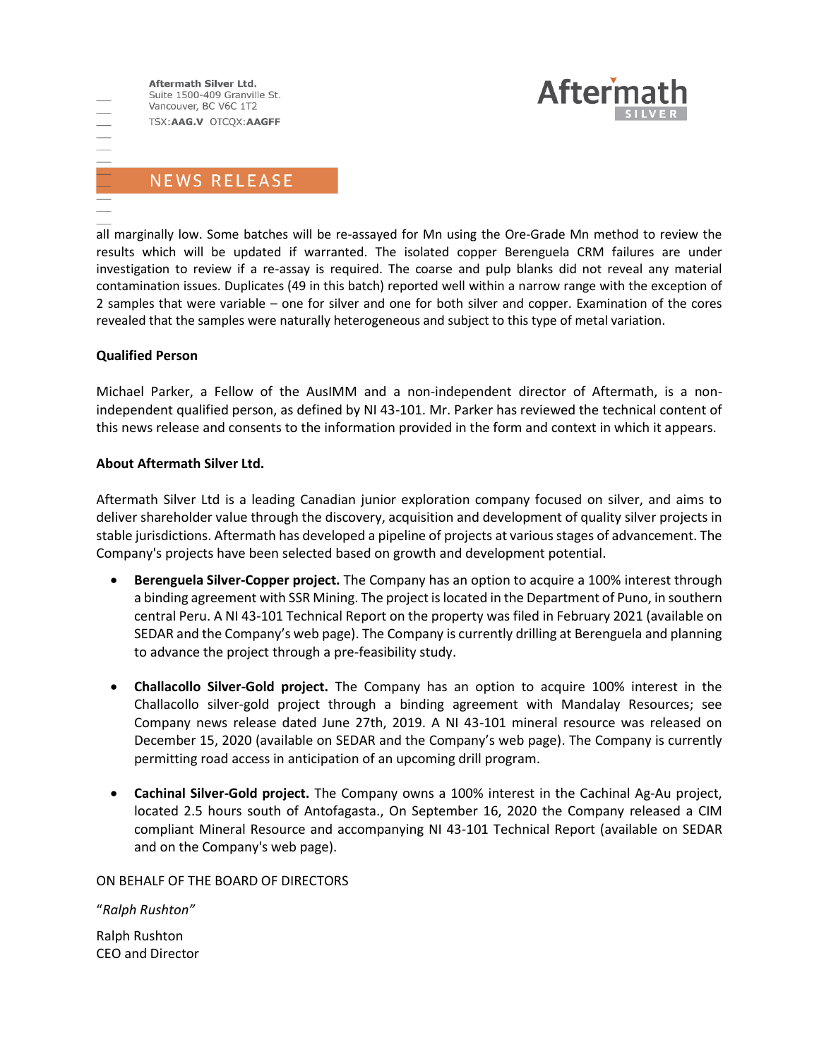Aftermath Silver Ltd. Suite 1500-409 Granville St. Vancouver, BC V6C 1T2 TSX:AAG.V OTCQX:AAGFF



# **NEWS RELEASE**

all marginally low. Some batches will be re-assayed for Mn using the Ore-Grade Mn method to review the results which will be updated if warranted. The isolated copper Berenguela CRM failures are under investigation to review if a re-assay is required. The coarse and pulp blanks did not reveal any material contamination issues. Duplicates (49 in this batch) reported well within a narrow range with the exception of 2 samples that were variable – one for silver and one for both silver and copper. Examination of the cores revealed that the samples were naturally heterogeneous and subject to this type of metal variation.

### **Qualified Person**

Michael Parker, a Fellow of the AusIMM and a non-independent director of Aftermath, is a nonindependent qualified person, as defined by NI 43-101. Mr. Parker has reviewed the technical content of this news release and consents to the information provided in the form and context in which it appears.

### **About Aftermath Silver Ltd.**

Aftermath Silver Ltd is a leading Canadian junior exploration company focused on silver, and aims to deliver shareholder value through the discovery, acquisition and development of quality silver projects in stable jurisdictions. Aftermath has developed a pipeline of projects at various stages of advancement. The Company's projects have been selected based on growth and development potential.

- **Berenguela Silver-Copper project.** The Company has an option to acquire a 100% interest through a binding agreement with SSR Mining. The project is located in the Department of Puno, in southern central Peru. A NI 43-101 Technical Report on the property was filed in February 2021 (available on SEDAR and the Company's web page). The Company is currently drilling at Berenguela and planning to advance the project through a pre-feasibility study.
- **Challacollo Silver-Gold project.** The Company has an option to acquire 100% interest in the Challacollo silver-gold project through a binding agreement with Mandalay Resources; see Company news release dated June 27th, 2019. A NI 43-101 mineral resource was released on December 15, 2020 (available on SEDAR and the Company's web page). The Company is currently permitting road access in anticipation of an upcoming drill program.
- **Cachinal Silver-Gold project.** The Company owns a 100% interest in the Cachinal Ag-Au project, located 2.5 hours south of Antofagasta., On September 16, 2020 the Company released a CIM compliant Mineral Resource and accompanying NI 43-101 Technical Report (available on SEDAR and on the Company's web page).

ON BEHALF OF THE BOARD OF DIRECTORS

"*Ralph Rushton"*

Ralph Rushton CEO and Director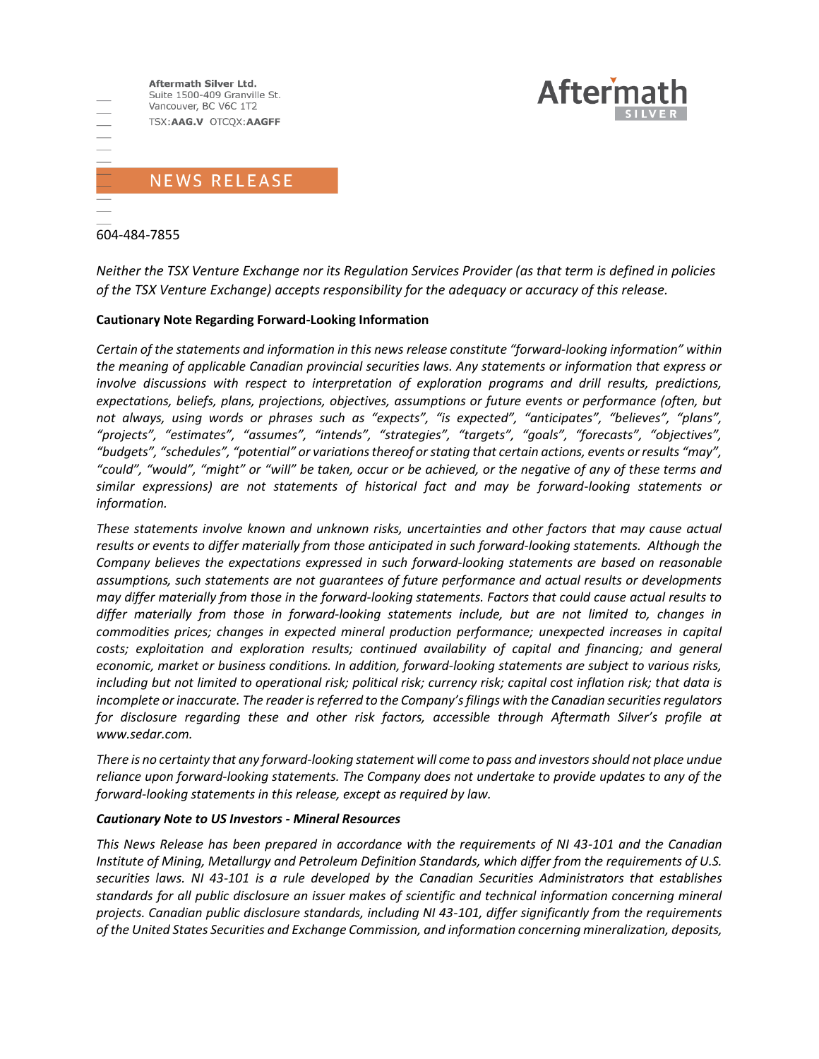

604-484-7855

*Neither the TSX Venture Exchange nor its Regulation Services Provider (as that term is defined in policies of the TSX Venture Exchange) accepts responsibility for the adequacy or accuracy of this release.*

**Aftern** 

### **Cautionary Note Regarding Forward-Looking Information**

*Certain of the statements and information in this news release constitute "forward-looking information" within the meaning of applicable Canadian provincial securities laws. Any statements or information that express or involve discussions with respect to interpretation of exploration programs and drill results, predictions, expectations, beliefs, plans, projections, objectives, assumptions or future events or performance (often, but not always, using words or phrases such as "expects", "is expected", "anticipates", "believes", "plans", "projects", "estimates", "assumes", "intends", "strategies", "targets", "goals", "forecasts", "objectives", "budgets", "schedules", "potential" or variations thereof or stating that certain actions, events or results "may", "could", "would", "might" or "will" be taken, occur or be achieved, or the negative of any of these terms and similar expressions) are not statements of historical fact and may be forward-looking statements or information.*

*These statements involve known and unknown risks, uncertainties and other factors that may cause actual results or events to differ materially from those anticipated in such forward‐looking statements. Although the Company believes the expectations expressed in such forward‐looking statements are based on reasonable assumptions, such statements are not guarantees of future performance and actual results or developments may differ materially from those in the forward‐looking statements. Factors that could cause actual results to differ materially from those in forward‐looking statements include, but are not limited to, changes in commodities prices; changes in expected mineral production performance; unexpected increases in capital costs; exploitation and exploration results; continued availability of capital and financing; and general economic, market or business conditions. In addition, forward‐looking statements are subject to various risks, including but not limited to operational risk; political risk; currency risk; capital cost inflation risk; that data is incomplete or inaccurate. The reader is referred to the Company's filings with the Canadian securities regulators for disclosure regarding these and other risk factors, accessible through Aftermath Silver's profile at www.sedar.com.*

*There is no certainty that any forward‐looking statement will come to pass and investors should not place undue reliance upon forward‐looking statements. The Company does not undertake to provide updates to any of the forward‐looking statements in this release, except as required by law.*

#### *Cautionary Note to US Investors - Mineral Resources*

*This News Release has been prepared in accordance with the requirements of NI 43-101 and the Canadian Institute of Mining, Metallurgy and Petroleum Definition Standards, which differ from the requirements of U.S. securities laws. NI 43-101 is a rule developed by the Canadian Securities Administrators that establishes standards for all public disclosure an issuer makes of scientific and technical information concerning mineral projects. Canadian public disclosure standards, including NI 43-101, differ significantly from the requirements of the United States Securities and Exchange Commission, and information concerning mineralization, deposits,*